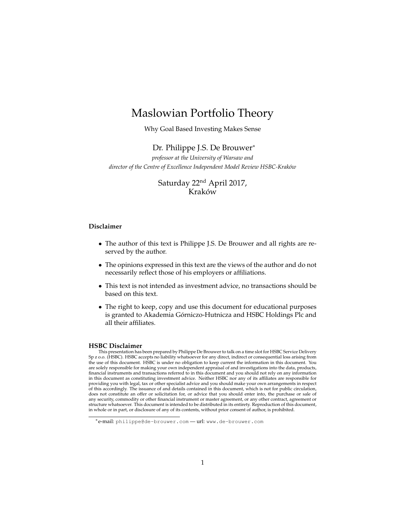## Maslowian Portfolio Theory

Why Goal Based Investing Makes Sense

## Dr. Philippe J.S. De Brouwer<sup>∗</sup>

*professor at the University of Warsaw and director of the Centre of Excellence Independent Model Review HSBC-Krak´ow*

> Saturday 22nd April 2017, Kraków

## **Disclaimer**

- The author of this text is Philippe J.S. De Brouwer and all rights are reserved by the author.
- The opinions expressed in this text are the views of the author and do not necessarily reflect those of his employers or affiliations.
- This text is not intended as investment advice, no transactions should be based on this text.
- The right to keep, copy and use this document for educational purposes is granted to Akademia Górniczo-Hutnicza and HSBC Holdings Plc and all their affiliates.

#### **HSBC Disclaimer**

This presentation has been prepared by Philippe De Brouwer to talk on a time slot for HSBC Service Delivery Sp z o.o. (HSBC). HSBC accepts no liability whatsoever for any direct, indirect or consequential loss arising from the use of this document. HSBC is under no obligation to keep current the information in this document. You are solely responsible for making your own independent appraisal of and investigations into the data, products, financial instruments and transactions referred to in this document and you should not rely on any information in this document as constituting investment advice. Neither HSBC nor any of its affiliates are responsible for providing you with legal, tax or other specialist advice and you should make your own arrangements in respect of this accordingly. The issuance of and details contained in this document, which is not for public circulation, does not constitute an offer or solicitation for, or advice that you should enter into, the purchase or sale of any security, commodity or other financial instrument or master agreement, or any other contract, agreement or structure whatsoever. This document is intended to be distributed in its entirety. Reproduction of this document, in whole or in part, or disclosure of any of its contents, without prior consent of author, is prohibited.

<sup>∗</sup>e-mail: philippe@de-brouwer.com — url: www.de-brouwer.com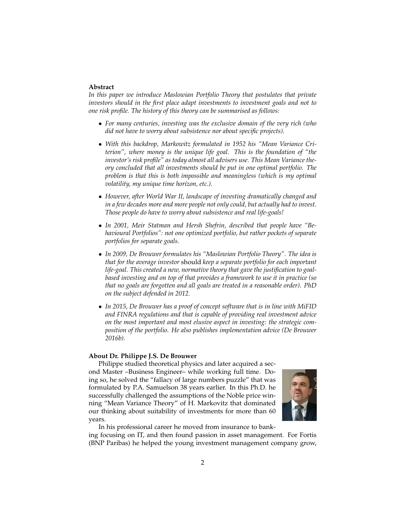#### **Abstract**

*In this paper we introduce Maslowian Portfolio Theory that postulates that private investors should in the first place adapt investments to investment goals and not to one risk profile. The history of this theory can be summarised as follows:*

- *For many centuries, investing was the exclusive domain of the very rich (who did not have to worry about subsistence nor about specific projects).*
- *With this backdrop, Markowitz formulated in 1952 his "Mean Variance Criterion", where money is the unique life goal. This is the foundation of "the investor's risk profile" as today almost all advisers use. This Mean Variance theory concluded that all investments should be put in one optimal portfolio. The problem is that this is both impossible and meaningless (which is my optimal volatility, my unique time horizon, etc.).*
- *However, after World War II, landscape of investing dramatically changed and in a few decades more and more people not only could, but actually had to invest. Those people do have to worry about subsistence and real life-goals!*
- *In 2001, Meir Statman and Hersh Shefrin, described that people have "Behavioural Portfolios": not one optimized portfolio, but rather pockets of separate portfolios for separate goals.*
- *In 2009, De Brouwer formulates his "Maslowian Portfolio Theory". The idea is that for the average investor* should *keep a separate portfolio for each important life-goal. This created a new, normative theory that gave the justification to goalbased investing and on top of that provides a framework to use it in practice (so that no goals are forgotten and all goals are treated in a reasonable order). PhD on the subject defended in 2012.*
- *In 2015, De Brouwer has a proof of concept software that is in line with MiFID and FINRA regulations and that is capable of providing real investment advice on the most important and most elusive aspect in investing: the strategic composition of the portfolio. He also publishes implementation advice (De Brouwer 2016b).*

#### **About Dr. Philippe J.S. De Brouwer**

Philippe studied theoretical physics and later acquired a second Master –Business Engineer– while working full time. Doing so, he solved the "fallacy of large numbers puzzle" that was formulated by P.A. Samuelson 38 years earlier. In this Ph.D. he successfully challenged the assumptions of the Noble price winning "Mean Variance Theory" of H. Markovitz that dominated our thinking about suitability of investments for more than 60 years.



In his professional career he moved from insurance to banking focusing on IT, and then found passion in asset management. For Fortis (BNP Paribas) he helped the young investment management company grow,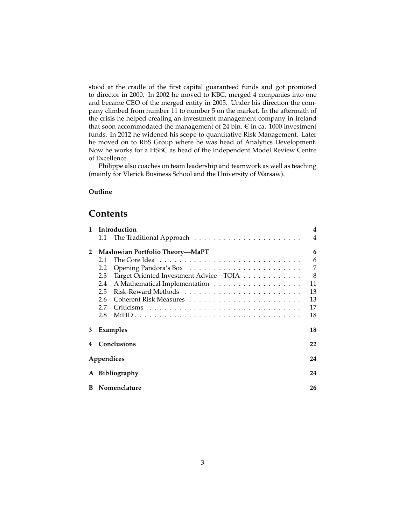stood at the cradle of the first capital guaranteed funds and got promoted to director in 2000. In 2002 he moved to KBC, merged 4 companies into one and became CEO of the merged entity in 2005. Under his direction the company climbed from number 11 to number 5 on the market. In the aftermath of the crisis he helped creating an investment management company in Ireland that soon accommodated the management of 24 bln.  $\epsilon$  in ca. 1000 investment funds. In 2012 he widened his scope to quantitative Risk Management. Later he moved on to RBS Group where he was head of Analytics Development. Now he works for a HSBC as head of the Independent Model Review Centre of Excellence.

Philippe also coaches on team leadership and teamwork as well as teaching (mainly for Vlerick Business School and the University of Warsaw).

#### **Outline**

## **Contents**

| $\mathbf{1}$ | Introduction   |                                        |                |  |
|--------------|----------------|----------------------------------------|----------------|--|
|              |                |                                        | $\overline{4}$ |  |
| $\mathbf{2}$ |                | Maslowian Portfolio Theory-MaPT        | 6              |  |
|              | 2.1            |                                        | 6              |  |
|              | 2.2            |                                        | 7              |  |
|              | 2.3            | Target Oriented Investment Advice-TOIA | 8              |  |
|              | 2.4            |                                        | 11             |  |
|              | 2.5            |                                        | 13             |  |
|              | 2.6            |                                        | 13             |  |
|              | 2.7            |                                        | 17             |  |
|              | 2.8            |                                        | 18             |  |
| 3            |                | Examples                               | 18             |  |
| 4            | Conclusions    |                                        |                |  |
|              | Appendices     |                                        | 24             |  |
|              | A Bibliography |                                        |                |  |
| в            |                | Nomenclature                           | 26             |  |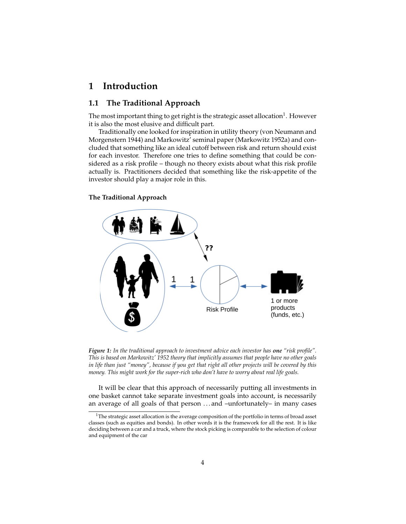## **1 Introduction**

## **1.1 The Traditional Approach**

The most important thing to get right is the strategic asset allocation $^1$ . However it is also the most elusive and difficult part.

Traditionally one looked for inspiration in utility theory (von Neumann and Morgenstern 1944) and Markowitz' seminal paper (Markowitz 1952a) and concluded that something like an ideal cutoff between risk and return should exist for each investor. Therefore one tries to define something that could be considered as a risk profile – though no theory exists about what this risk profile actually is. Practitioners decided that something like the risk-appetite of the investor should play a major role in this.

## **The Traditional Approach**



*Figure 1: In the traditional approach to investment advice each investor has one "risk profile". This is based on Markowitz' 1952 theory that implicitly assumes that people have no other goals in life than just "money", because if you get that right all other projects will be covered by this money. This might work for the super-rich who don't have to worry about real life goals.*

It will be clear that this approach of necessarily putting all investments in one basket cannot take separate investment goals into account, is necessarily an average of all goals of that person . . . and –unfortunately– in many cases

 $1$ The strategic asset allocation is the average composition of the portfolio in terms of broad asset classes (such as equities and bonds). In other words it is the framework for all the rest. It is like deciding between a car and a truck, where the stock picking is comparable to the selection of colour and equipment of the car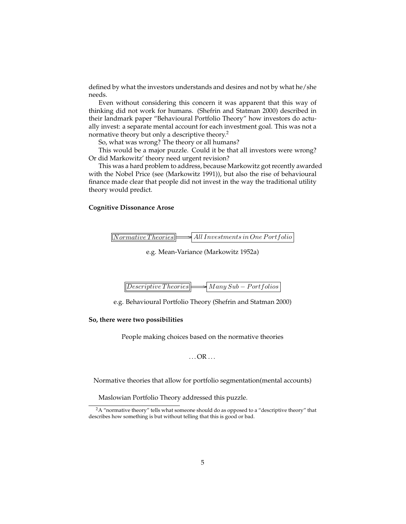defined by what the investors understands and desires and not by what he/she needs.

Even without considering this concern it was apparent that this way of thinking did not work for humans. (Shefrin and Statman 2000) described in their landmark paper "Behavioural Portfolio Theory" how investors do actually invest: a separate mental account for each investment goal. This was not a normative theory but only a descriptive theory.<sup>2</sup>

So, what was wrong? The theory or all humans?

This would be a major puzzle. Could it be that all investors were wrong? Or did Markowitz' theory need urgent revision?

This was a hard problem to address, because Markowitz got recently awarded with the Nobel Price (see (Markowitz 1991)), but also the rise of behavioural finance made clear that people did not invest in the way the traditional utility theory would predict.

## **Cognitive Dissonance Arose**

| $\boxed{Normative\,Theories}$ | $\Rightarrow$ All Investments in One Portfolio |
|-------------------------------|------------------------------------------------|
|                               |                                                |

e.g. Mean-Variance (Markowitz 1952a)

| $\boxed{Describe \: Theories}$ $\rightarrow$ $Many \: Sub-Portfolios$ |  |  |
|-----------------------------------------------------------------------|--|--|
|                                                                       |  |  |

e.g. Behavioural Portfolio Theory (Shefrin and Statman 2000)

## **So, there were two possibilities**

People making choices based on the normative theories

 $\ldots$  OR  $\ldots$ 

Normative theories that allow for portfolio segmentation(mental accounts)

Maslowian Portfolio Theory addressed this puzzle.

 $2A$  "normative theory" tells what someone should do as opposed to a "descriptive theory" that describes how something is but without telling that this is good or bad.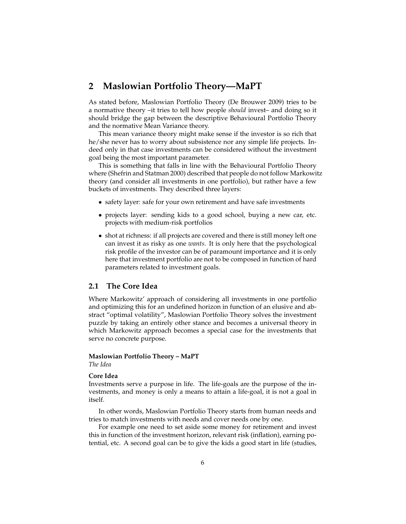## **2 Maslowian Portfolio Theory—MaPT**

As stated before, Maslowian Portfolio Theory (De Brouwer 2009) tries to be a normative theory –it tries to tell how people *should* invest– and doing so it should bridge the gap between the descriptive Behavioural Portfolio Theory and the normative Mean Variance theory.

This mean variance theory might make sense if the investor is so rich that he/she never has to worry about subsistence nor any simple life projects. Indeed only in that case investments can be considered without the investment goal being the most important parameter.

This is something that falls in line with the Behavioural Portfolio Theory where (Shefrin and Statman 2000) described that people do not follow Markowitz theory (and consider all investments in one portfolio), but rather have a few buckets of investments. They described three layers:

- safety layer: safe for your own retirement and have safe investments
- projects layer: sending kids to a good school, buying a new car, etc. projects with medium-risk portfolios
- shot at richness: if all projects are covered and there is still money left one can invest it as risky as one *wants*. It is only here that the psychological risk profile of the investor can be of paramount importance and it is only here that investment portfolio are not to be composed in function of hard parameters related to investment goals.

## **2.1 The Core Idea**

Where Markowitz' approach of considering all investments in one portfolio and optimizing this for an undefined horizon in function of an elusive and abstract "optimal volatility", Maslowian Portfolio Theory solves the investment puzzle by taking an entirely other stance and becomes a universal theory in which Markowitz approach becomes a special case for the investments that serve no concrete purpose.

## **Maslowian Portfolio Theory – MaPT**

*The Idea*

## **Core Idea**

Investments serve a purpose in life. The life-goals are the purpose of the investments, and money is only a means to attain a life-goal, it is not a goal in itself.

In other words, Maslowian Portfolio Theory starts from human needs and tries to match investments with needs and cover needs one by one.

For example one need to set aside some money for retirement and invest this in function of the investment horizon, relevant risk (inflation), earning potential, etc. A second goal can be to give the kids a good start in life (studies,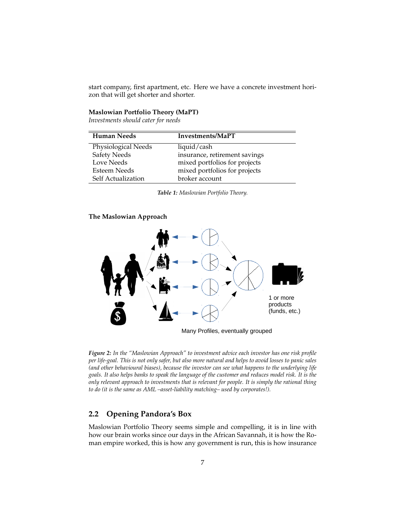start company, first apartment, etc. Here we have a concrete investment horizon that will get shorter and shorter.

## **Maslowian Portfolio Theory (MaPT)**

*Investments should cater for needs*

| <b>Human Needs</b>  | Investments/MaPT              |
|---------------------|-------------------------------|
| Physiological Needs | liquid/cash                   |
| <b>Safety Needs</b> | insurance, retirement savings |
| Love Needs          | mixed portfolios for projects |
| Esteem Needs        | mixed portfolios for projects |
| Self Actualization  | broker account                |

*Table 1: Maslowian Portfolio Theory.*

#### **The Maslowian Approach**



Many Profiles, eventually grouped

*Figure 2: In the "Maslowian Approach" to investment advice each investor has one risk profile per life-goal. This is not only safer, but also more natural and helps to avoid losses to panic sales (and other behavioural biases), because the investor can see what happens to the underlying life goals. It also helps banks to speak the language of the customer and reduces model risk. It is the only relevant approach to investments that is relevant for people. It is simply the rational thing to do (it is the same as AML –asset-liability matching– used by corporates!).*

## **2.2 Opening Pandora's Box**

Maslowian Portfolio Theory seems simple and compelling, it is in line with how our brain works since our days in the African Savannah, it is how the Roman empire worked, this is how any government is run, this is how insurance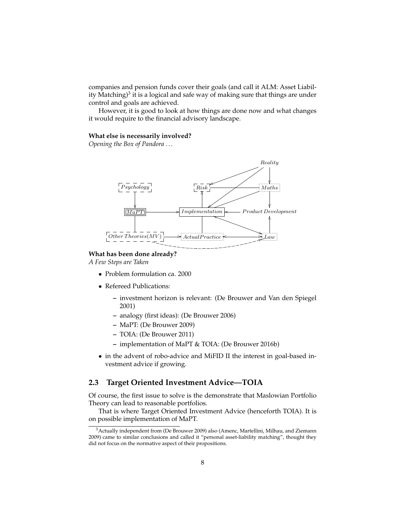companies and pension funds cover their goals (and call it ALM: Asset Liability Matching) $^3$  it is a logical and safe way of making sure that things are under control and goals are achieved.

However, it is good to look at how things are done now and what changes it would require to the financial advisory landscape.

#### **What else is necessarily involved?**

*Opening the Box of Pandora . . .*



#### **What has been done already?**

*A Few Steps are Taken*

- Problem formulation ca. 2000
- Refereed Publications:
	- **–** investment horizon is relevant: (De Brouwer and Van den Spiegel 2001)
	- **–** analogy (first ideas): (De Brouwer 2006)
	- **–** MaPT: (De Brouwer 2009)
	- **–** TOIA: (De Brouwer 2011)
	- **–** implementation of MaPT & TOIA: (De Brouwer 2016b)
- in the advent of robo-advice and MiFID II the interest in goal-based investment advice if growing.

## **2.3 Target Oriented Investment Advice—TOIA**

Of course, the first issue to solve is the demonstrate that Maslowian Portfolio Theory can lead to reasonable portfolios.

That is where Target Oriented Investment Advice (henceforth TOIA). It is on possible implementation of MaPT.

<sup>&</sup>lt;sup>3</sup> Actually independent from (De Brouwer 2009) also (Amenc, Martellini, Milhau, and Ziemann 2009) came to similar conclusions and called it "personal asset-liability matching", thought they did not focus on the normative aspect of their propositions.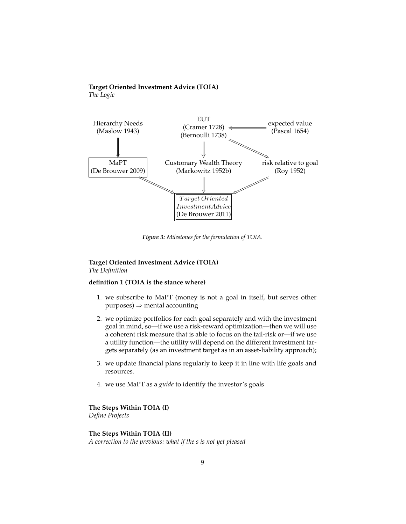## **Target Oriented Investment Advice (TOIA)**

*The Logic*



*Figure 3: Milestones for the formulation of TOIA.*

## **Target Oriented Investment Advice (TOIA)** *The Definition*

## **definition 1 (TOIA is the stance where)**

- 1. we subscribe to MaPT (money is not a goal in itself, but serves other  $purpose) \Rightarrow mental accounting$
- 2. we optimize portfolios for each goal separately and with the investment goal in mind, so—if we use a risk-reward optimization—then we will use a coherent risk measure that is able to focus on the tail-risk or—if we use a utility function—the utility will depend on the different investment targets separately (as an investment target as in an asset-liability approach);
- 3. we update financial plans regularly to keep it in line with life goals and resources.
- 4. we use MaPT as a *guide* to identify the investor's goals

**The Steps Within TOIA (I)**

*Define Projects*

## **The Steps Within TOIA (II)**

*A correction to the previous: what if the s is not yet pleased*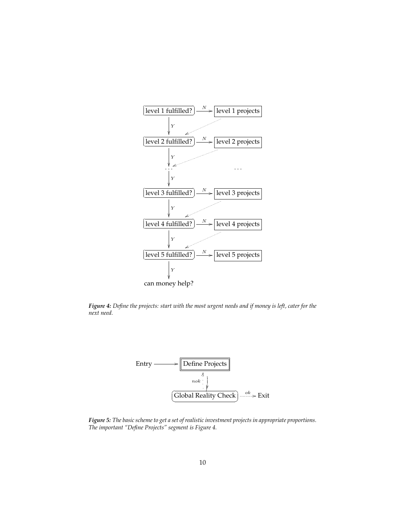

*Figure 4: Define the projects: start with the most urgent needs and if money is left, cater for the next need.*



*Figure 5: The basic scheme to get a set of realistic investment projects in appropriate proportions. The important "Define Projects" segment is Figure 4.*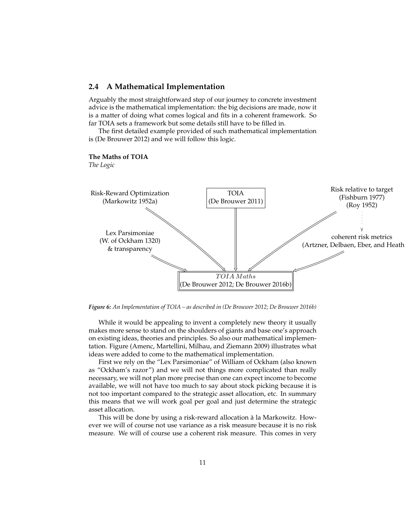## **2.4 A Mathematical Implementation**

Arguably the most straightforward step of our journey to concrete investment advice is the mathematical implementation: the big decisions are made, now it is a matter of doing what comes logical and fits in a coherent framework. So far TOIA sets a framework but some details still have to be filled in.

The first detailed example provided of such mathematical implementation is (De Brouwer 2012) and we will follow this logic.

#### **The Maths of TOIA**

*The Logic*



*Figure 6: An Implementation of TOIA – as described in (De Brouwer 2012; De Brouwer 2016b)*

While it would be appealing to invent a completely new theory it usually makes more sense to stand on the shoulders of giants and base one's approach on existing ideas, theories and principles. So also our mathematical implementation. Figure (Amenc, Martellini, Milhau, and Ziemann 2009) illustrates what ideas were added to come to the mathematical implementation.

First we rely on the "Lex Parsimoniae" of William of Ockham (also known as "Ockham's razor") and we will not things more complicated than really necessary, we will not plan more precise than one can expect income to become available, we will not have too much to say about stock picking because it is not too important compared to the strategic asset allocation, etc. In summary this means that we will work goal per goal and just determine the strategic asset allocation.

This will be done by using a risk-reward allocation à la Markowitz. However we will of course not use variance as a risk measure because it is no risk measure. We will of course use a coherent risk measure. This comes in very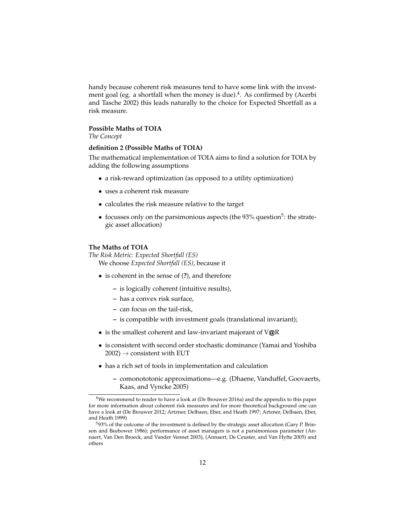handy because coherent risk measures tend to have some link with the investment goal (eg. a shortfall when the money is due).<sup>4</sup>. As confirmed by (Acerbi and Tasche 2002) this leads naturally to the choice for Expected Shortfall as a risk measure.

## **Possible Maths of TOIA**

*The Concept*

### **definition 2 (Possible Maths of TOIA)**

The mathematical implementation of TOIA aims to find a solution for TOIA by adding the following assumptions

- a risk-reward optimization (as opposed to a utility optimization)
- uses a coherent risk measure
- calculates the risk measure relative to the target
- focusses only on the parsimonious aspects (the  $93\%$  question<sup>5</sup>: the strategic asset allocation)

## **The Maths of TOIA**

*The Risk Metric: Expected Shortfall (ES)* We choose *Expected Shortfall (ES)*, because it

- is coherent in the sense of (**?**), and therefore
	- **–** is logically coherent (intuitive results),
	- **–** has a convex risk surface,
	- **–** can focus on the tail-risk,
	- **–** is compatible with investment goals (translational invariant);
- is the smallest coherent and law-invariant majorant of V@R
- is consistent with second order stochastic dominance (Yamai and Yoshiba  $2002$ )  $\rightarrow$  consistent with EUT
- has a rich set of tools in implementation and calculation
	- **–** comonototonic approximations—e.g. (Dhaene, Vanduffel, Goovaerts, Kaas, and Vyncke 2005)

<sup>4</sup>We recommend to reader to have a look at (De Brouwer 2016a) and the appendix to this paper for more information about coherent risk measures and for more theoretical background one can have a look at (De Brouwer 2012; Artzner, Delbaen, Eber, and Heath 1997; Artzner, Delbaen, Eber, and Heath 1999)

<sup>5</sup>93% of the outcome of the investment is defined by the strategic asset allocation (Gary P. Brinson and Beebower 1986); performance of asset managers is not a parsimonious parameter (Annaert, Van Den Broeck, and Vander Vennet 2003), (Annaert, De Ceuster, and Van Hyfte 2005) and others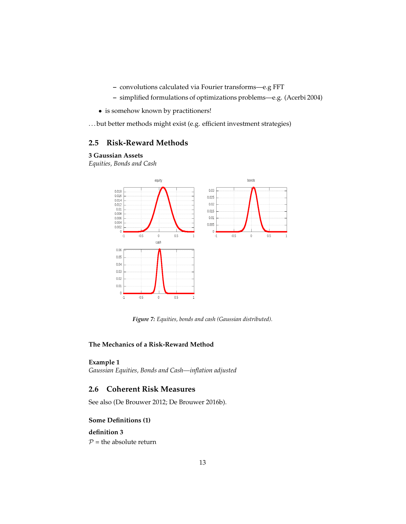- **–** convolutions calculated via Fourier transforms—e.g FFT
- **–** simplified formulations of optimizations problems—e.g. (Acerbi 2004)
- is somehow known by practitioners!

. . . but better methods might exist (e.g. efficient investment strategies)

## **2.5 Risk-Reward Methods**

#### **3 Gaussian Assets**

*Equities, Bonds and Cash*



*Figure 7: Equities, bonds and cash (Gaussian distributed).*

## **The Mechanics of a Risk-Reward Method**

## **Example 1**

*Gaussian Equities, Bonds and Cash—inflation adjusted*

## **2.6 Coherent Risk Measures**

See also (De Brouwer 2012; De Brouwer 2016b).

## **Some Definitions (1)**

## **definition 3**

 $P =$  the absolute return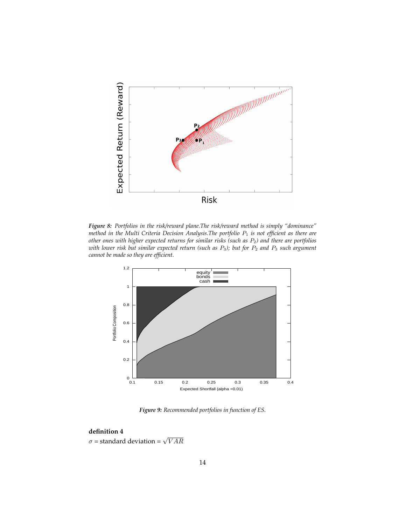

*Figure 8: Portfolios in the risk/reward plane.The risk/reward method is simply "dominance" method in the Multi Criteria Decision Analysis.The portfolio*  $P_1$  *is not efficient as there are other ones with higher expected returns for similar risks (such as* P2*) and there are portfolios with lower risk but similar expected return (such as* P3*); but for* P<sup>2</sup> *and* P<sup>3</sup> *such argument cannot be made so they are efficient.*



*Figure 9: Recommended portfolios in function of ES.*

## **definition 4**

 $\sigma$  = standard deviation =  $\sqrt{VAR}$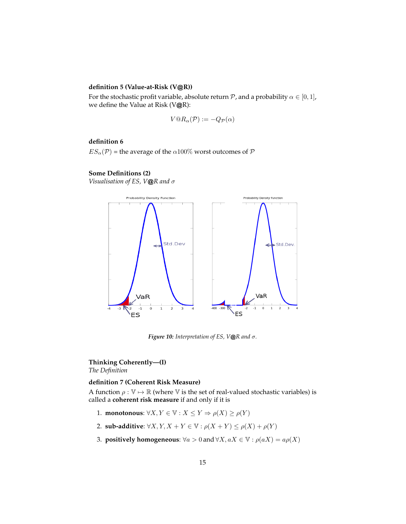## **definition 5 (Value-at-Risk (V**@**R))**

For the stochastic profit variable, absolute return  $P$ , and a probability  $\alpha \in [0,1]$ , we define the Value at Risk (V@R):

$$
V@R_{\alpha}(\mathcal{P}) := -Q_{\mathcal{P}}(\alpha)
$$

## **definition 6**

 $ES_{\alpha}(\mathcal{P})$  = the average of the  $\alpha$ 100% worst outcomes of  $\mathcal P$ 

#### **Some Definitions (2)**

*Visualisation of ES, V*@*R and* σ



*Figure 10: Interpretation of ES, V*@*R and* σ*.*

## **Thinking Coherently—(I)** *The Definition*

#### **definition 7 (Coherent Risk Measure)**

A function  $\rho : \mathbb{V} \to \mathbb{R}$  (where V is the set of real-valued stochastic variables) is called a **coherent risk measure** if and only if it is

- 1. **monotonous**:  $\forall X, Y \in \mathbb{V} : X \leq Y \Rightarrow \rho(X) \geq \rho(Y)$
- 2. **sub-additive**:  $\forall X, Y, X + Y \in \mathbb{V} : \rho(X + Y) \leq \rho(X) + \rho(Y)$
- 3. **positively homogeneous**:  $\forall a > 0$  and  $\forall X, aX \in \mathbb{V} : \rho(aX) = a\rho(X)$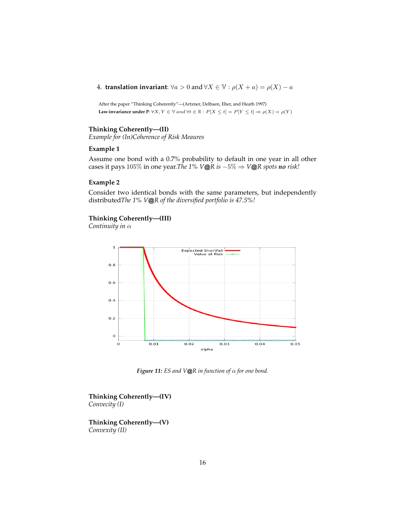4. **translation invariant**:  $\forall a > 0$  and  $\forall X \in \mathbb{V} : \rho(X + a) = \rho(X) - a$ 

After the paper "Thinking Coherently"—(Artzner, Delbaen, Eber, and Heath 1997) **Law-invariance under P**:  $\forall X, Y \in \mathbb{V}$  and  $\forall t \in \mathbb{R} : P[X \leq t] = P[Y \leq t] \Rightarrow \rho(X) = \rho(Y)$ 

## **Thinking Coherently—(II)**

*Example for (In)Coherence of Risk Meaures*

## **Example 1**

Assume one bond with a 0.7% probability to default in one year in all other cases it pays 105% in one year.*The 1% V*@*R is* −5% ⇒ *V*@*R spots no risk!*

## **Example 2**

Consider two identical bonds with the same parameters, but independently distributed*The 1% V*@*R of the diversified portfolio is 47.5%!*

## **Thinking Coherently—(III)**

*Continuity in* α



*Figure 11: ES and V*@*R in function of* α *for one bond.*

**Thinking Coherently—(IV)** *Convecity (I)*

**Thinking Coherently—(V)** *Convexity (II)*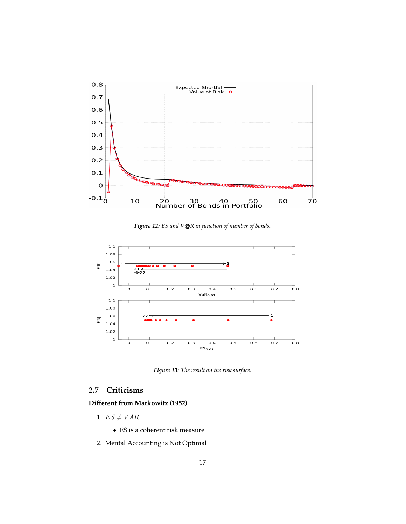

*Figure 12: ES and V*@*R in function of number of bonds.*



*Figure 13: The result on the risk surface.*

## **2.7 Criticisms**

## **Different from Markowitz (1952)**

- 1.  $ES \neq VAR$ 
	- ES is a coherent risk measure
- 2. Mental Accounting is Not Optimal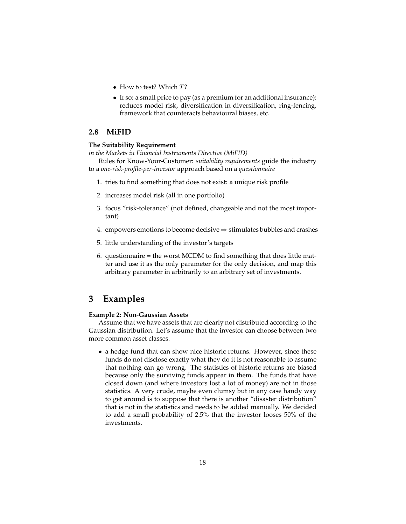- How to test? Which T?
- If so: a small price to pay (as a premium for an additional insurance): reduces model risk, diversification in diversification, ring-fencing, framework that counteracts behavioural biases, etc.

## **2.8 MiFID**

## **The Suitability Requirement**

*in the Markets in Financial Instruments Directive (MiFID)*

Rules for Know-Your-Customer: *suitability requirements* guide the industry to a *one-risk-profile-per-investor* approach based on a *questionnaire*

- 1. tries to find something that does not exist: a unique risk profile
- 2. increases model risk (all in one portfolio)
- 3. focus "risk-tolerance" (not defined, changeable and not the most important)
- 4. empowers emotions to become decisive  $\Rightarrow$  stimulates bubbles and crashes
- 5. little understanding of the investor's targets
- 6. questionnaire = the worst MCDM to find something that does little matter and use it as the only parameter for the only decision, and map this arbitrary parameter in arbitrarily to an arbitrary set of investments.

## **3 Examples**

#### **Example 2: Non-Gaussian Assets**

Assume that we have assets that are clearly not distributed according to the Gaussian distribution. Let's assume that the investor can choose between two more common asset classes.

• a hedge fund that can show nice historic returns. However, since these funds do not disclose exactly what they do it is not reasonable to assume that nothing can go wrong. The statistics of historic returns are biased because only the surviving funds appear in them. The funds that have closed down (and where investors lost a lot of money) are not in those statistics. A very crude, maybe even clumsy but in any case handy way to get around is to suppose that there is another "disaster distribution" that is not in the statistics and needs to be added manually. We decided to add a small probability of 2.5% that the investor looses 50% of the investments.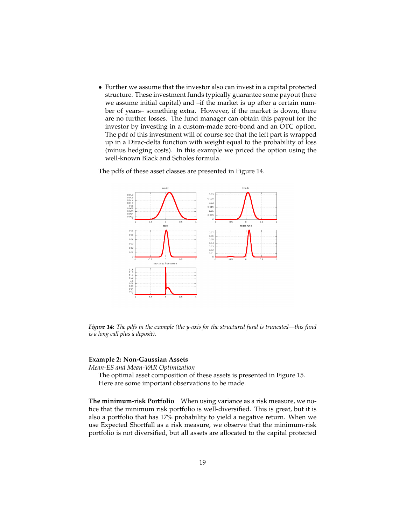• Further we assume that the investor also can invest in a capital protected structure. These investment funds typically guarantee some payout (here we assume initial capital) and –if the market is up after a certain number of years– something extra. However, if the market is down, there are no further losses. The fund manager can obtain this payout for the investor by investing in a custom-made zero-bond and an OTC option. The pdf of this investment will of course see that the left part is wrapped up in a Dirac-delta function with weight equal to the probability of loss (minus hedging costs). In this example we priced the option using the well-known Black and Scholes formula.

The pdfs of these asset classes are presented in Figure 14.



*Figure 14: The pdfs in the example (the y-axis for the structured fund is truncated—this fund is a long call plus a deposit).*

#### **Example 2: Non-Gaussian Assets**

*Mean-ES and Mean-VAR Optimization*

The optimal asset composition of these assets is presented in Figure 15. Here are some important observations to be made.

**The minimum-risk Portfolio** When using variance as a risk measure, we notice that the minimum risk portfolio is well-diversified. This is great, but it is also a portfolio that has 17% probability to yield a negative return. When we use Expected Shortfall as a risk measure, we observe that the minimum-risk portfolio is not diversified, but all assets are allocated to the capital protected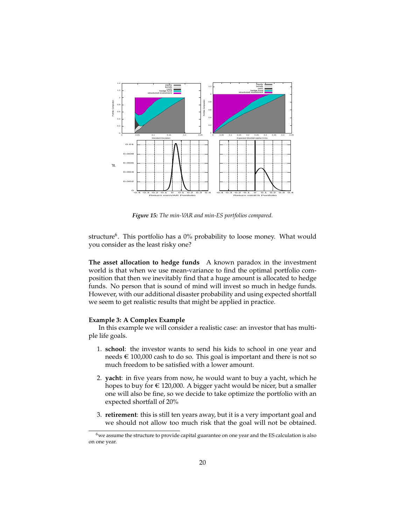

*Figure 15: The min-VAR and min-ES portfolios compared.*

structure<sup>6</sup>. This portfolio has a 0% probability to loose money. What would you consider as the least risky one?

**The asset allocation to hedge funds** A known paradox in the investment world is that when we use mean-variance to find the optimal portfolio composition that then we inevitably find that a huge amount is allocated to hedge funds. No person that is sound of mind will invest so much in hedge funds. However, with our additional disaster probability and using expected shortfall we seem to get realistic results that might be applied in practice.

## **Example 3: A Complex Example**

In this example we will consider a realistic case: an investor that has multiple life goals.

- 1. **school**: the investor wants to send his kids to school in one year and needs  $\epsilon$  100,000 cash to do so. This goal is important and there is not so much freedom to be satisfied with a lower amount.
- 2. **yacht**: in five years from now, he would want to buy a yacht, which he hopes to buy for  $\epsilon$  120,000. A bigger yacht would be nicer, but a smaller one will also be fine, so we decide to take optimize the portfolio with an expected shortfall of 20%
- 3. **retirement**: this is still ten years away, but it is a very important goal and we should not allow too much risk that the goal will not be obtained.

 $6$ we assume the structure to provide capital guarantee on one year and the ES calculation is also on one year.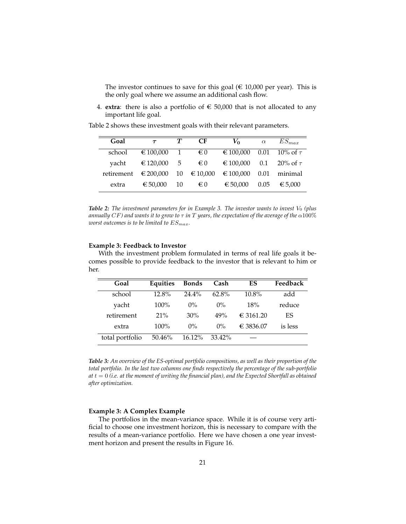The investor continues to save for this goal ( $\epsilon$  10,000 per year). This is the only goal where we assume an additional cash flow.

4. **extra**: there is also a portfolio of  $\epsilon$  50,000 that is not allocated to any important life goal.

| Goal                          | $\tau$                   | $\bm{\tau}$ | CF.                   | $V_0$     | $\alpha$ | $ES_{max}$         |
|-------------------------------|--------------------------|-------------|-----------------------|-----------|----------|--------------------|
| school                        | € 100,000 1 $\epsilon$ 0 |             |                       | € 100,000 |          | 0.01 10% of $\tau$ |
| yacht                         | € 120,000 5 € 0          |             |                       | € 100,000 |          | 0.1 20% of $\tau$  |
| retirement $\epsilon$ 200,000 |                          |             | $10 \quad \in 10,000$ | € 100,000 | 0.01     | minimal            |
| extra                         | € 50,000                 | -10         | € 0                   | € 50.000  | 0.05     | € 5.000            |

Table 2 shows these investment goals with their relevant parameters.

**Table 2:** The investment parameters for in Example 3. The investor wants to invest V<sub>0</sub> (plus *annually* CF*) and wants it to grow to* τ *in* T *years, the expectation of the average of the* α100% *worst outcomes is to be limited to*  $ES_{max}$ .

#### **Example 3: Feedback to Investor**

With the investment problem formulated in terms of real life goals it becomes possible to provide feedback to the investor that is relevant to him or her.

| Goal            | Equities | <b>Bonds</b> | Cash     | ES        | Feedback |
|-----------------|----------|--------------|----------|-----------|----------|
| school          | $12.8\%$ | $24.4\%$     | $62.8\%$ | $10.8\%$  | add      |
| yacht           | $100\%$  | $0\%$        | $0\%$    | 18%       | reduce   |
| retirement      | 21%      | 30%          | 49%      | € 3161.20 | ES       |
| extra           | $100\%$  | $0\%$        | $0\%$    | € 3836.07 | is less  |
| total portfolio | 50.46%   | $16.12\%$    | 33.42%   |           |          |

*Table 3: An overview of the ES-optimal portfolio compositions, as well as their proportion of the total portfolio. In the last two columns one finds respectively the percentage of the sub-portfolio*  $at\, t = 0$  *(i.e. at the moment of writing the financial plan), and the Expected Shortfall as obtained after optimization.*

#### **Example 3: A Complex Example**

The portfolios in the mean-variance space. While it is of course very artificial to choose one investment horizon, this is necessary to compare with the results of a mean-variance portfolio. Here we have chosen a one year investment horizon and present the results in Figure 16.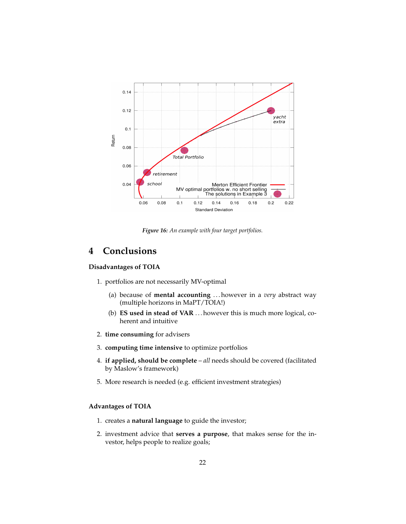

*Figure 16: An example with four target portfolios.*

## **4 Conclusions**

#### **Disadvantages of TOIA**

- 1. portfolios are not necessarily MV-optimal
	- (a) because of **mental accounting** . . . however in a *very* abstract way (multiple horizons in MaPT/TOIA!)
	- (b) **ES used in stead of VAR** . . . however this is much more logical, coherent and intuitive
- 2. **time consuming** for advisers
- 3. **computing time intensive** to optimize portfolios
- 4. **if applied, should be complete** *all* needs should be covered (facilitated by Maslow's framework)
- 5. More research is needed (e.g. efficient investment strategies)

## **Advantages of TOIA**

- 1. creates a **natural language** to guide the investor;
- 2. investment advice that **serves a purpose**, that makes sense for the investor, helps people to realize goals;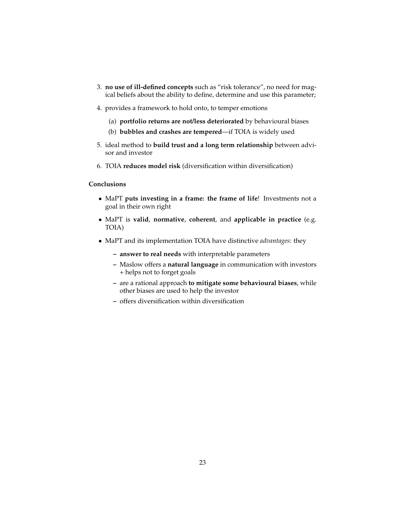- 3. **no use of ill-defined concepts** such as "risk tolerance", no need for magical beliefs about the ability to define, determine and use this parameter;
- 4. provides a framework to hold onto, to temper emotions
	- (a) **portfolio returns are not/less deteriorated** by behavioural biases
	- (b) **bubbles and crashes are tempered**—if TOIA is widely used
- 5. ideal method to **build trust and a long term relationship** between advisor and investor
- 6. TOIA **reduces model risk** (diversification within diversification)

## **Conclusions**

- MaPT **puts investing in a frame: the frame of life**! Investments not a goal in their own right
- MaPT is **valid**, **normative**, **coherent**, and **applicable in practice** (e.g. TOIA)
- MaPT and its implementation TOIA have distinctive *advantages*: they
	- **– answer to real needs** with interpretable parameters
	- **–** Maslow offers a **natural language** in communication with investors + helps not to forget goals
	- **–** are a rational approach **to mitigate some behavioural biases**, while other biases are used to help the investor
	- **–** offers diversification within diversification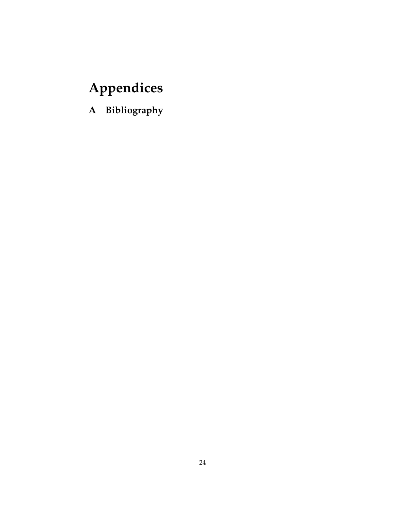# **Appendices**

**A Bibliography**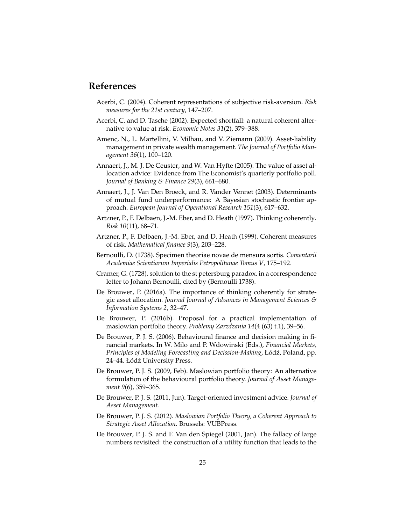## **References**

- Acerbi, C. (2004). Coherent representations of subjective risk-aversion. *Risk measures for the 21st century*, 147–207.
- Acerbi, C. and D. Tasche (2002). Expected shortfall: a natural coherent alternative to value at risk. *Economic Notes 31*(2), 379–388.
- Amenc, N., L. Martellini, V. Milhau, and V. Ziemann (2009). Asset-liability management in private wealth management. *The Journal of Portfolio Management 36*(1), 100–120.
- Annaert, J., M. J. De Ceuster, and W. Van Hyfte (2005). The value of asset allocation advice: Evidence from The Economist's quarterly portfolio poll. *Journal of Banking & Finance 29*(3), 661–680.
- Annaert, J., J. Van Den Broeck, and R. Vander Vennet (2003). Determinants of mutual fund underperformance: A Bayesian stochastic frontier approach. *European Journal of Operational Research 151*(3), 617–632.
- Artzner, P., F. Delbaen, J.-M. Eber, and D. Heath (1997). Thinking coherently. *Risk 10*(11), 68–71.
- Artzner, P., F. Delbaen, J.-M. Eber, and D. Heath (1999). Coherent measures of risk. *Mathematical finance 9*(3), 203–228.
- Bernoulli, D. (1738). Specimen theoriae novae de mensura sortis. *Comentarii Academiae Scientiarum Imperialis Petropolitanae Tomus V*, 175–192.
- Cramer, G. (1728). solution to the st petersburg paradox. in a correspondence letter to Johann Bernoulli, cited by (Bernoulli 1738).
- De Brouwer, P. (2016a). The importance of thinking coherently for strategic asset allocation. *Journal Journal of Advances in Management Sciences & Information Systems 2*, 32–47.
- De Brouwer, P. (2016b). Proposal for a practical implementation of maslowian portfolio theory. *Problemy Zarzdzania 14*(4 (63) t.1), 39–56.
- De Brouwer, P. J. S. (2006). Behavioural finance and decision making in financial markets. In W. Milo and P. Wdowinski (Eds.), *Financial Markets, Principles of Modeling Forecasting and Decission-Making, Łódź, Poland, pp.* 24–44. Łódź University Press.
- De Brouwer, P. J. S. (2009, Feb). Maslowian portfolio theory: An alternative formulation of the behavioural portfolio theory. *Journal of Asset Management 9*(6), 359–365.
- De Brouwer, P. J. S. (2011, Jun). Target-oriented investment advice. *Journal of Asset Management*.
- De Brouwer, P. J. S. (2012). *Maslowian Portfolio Theory, a Coherent Approach to Strategic Asset Allocation*. Brussels: VUBPress.
- De Brouwer, P. J. S. and F. Van den Spiegel (2001, Jan). The fallacy of large numbers revisited: the construction of a utility function that leads to the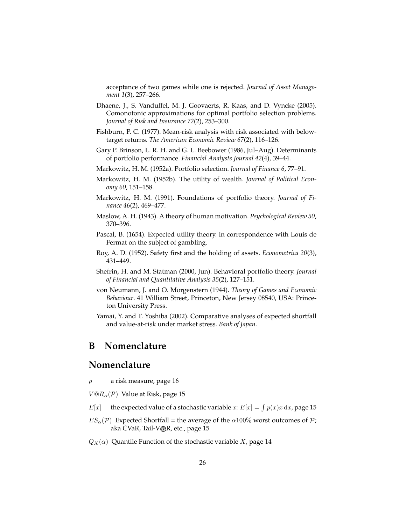acceptance of two games while one is rejected. *Journal of Asset Management 1*(3), 257–266.

- Dhaene, J., S. Vanduffel, M. J. Goovaerts, R. Kaas, and D. Vyncke (2005). Comonotonic approximations for optimal portfolio selection problems. *Journal of Risk and Insurance 72*(2), 253–300.
- Fishburn, P. C. (1977). Mean-risk analysis with risk associated with belowtarget returns. *The American Economic Review 67*(2), 116–126.
- Gary P. Brinson, L. R. H. and G. L. Beebower (1986, Jul–Aug). Determinants of portfolio performance. *Financial Analysts Journal 42*(4), 39–44.
- Markowitz, H. M. (1952a). Portfolio selection. *Journal of Finance 6*, 77–91.
- Markowitz, H. M. (1952b). The utility of wealth. *Journal of Political Economy 60*, 151–158.
- Markowitz, H. M. (1991). Foundations of portfolio theory. *Journal of Finance 46*(2), 469–477.
- Maslow, A. H. (1943). A theory of human motivation. *Psychological Review 50*, 370–396.
- Pascal, B. (1654). Expected utility theory. in correspondence with Louis de Fermat on the subject of gambling.
- Roy, A. D. (1952). Safety first and the holding of assets. *Econometrica 20*(3), 431–449.
- Shefrin, H. and M. Statman (2000, Jun). Behavioral portfolio theory. *Journal of Financial and Quantitative Analysis 35*(2), 127–151.
- von Neumann, J. and O. Morgenstern (1944). *Theory of Games and Economic Behaviour*. 41 William Street, Princeton, New Jersey 08540, USA: Princeton University Press.
- Yamai, Y. and T. Yoshiba (2002). Comparative analyses of expected shortfall and value-at-risk under market stress. *Bank of Japan*.

## **B Nomenclature**

## **Nomenclature**

- $\rho$  a risk measure, page 16
- $V@R_{\alpha}(\mathcal{P})$  Value at Risk, page 15
- $E[x]$  the expected value of a stochastic variable x:  $E[x] = \int p(x)x \, dx$ , page 15
- $ES_{\alpha}(\mathcal{P})$  Expected Shortfall = the average of the  $\alpha100\%$  worst outcomes of  $\mathcal{P}$ ; aka CVaR, Tail-V@R, etc., page 15
- $Q_X(\alpha)$  Quantile Function of the stochastic variable X, page 14